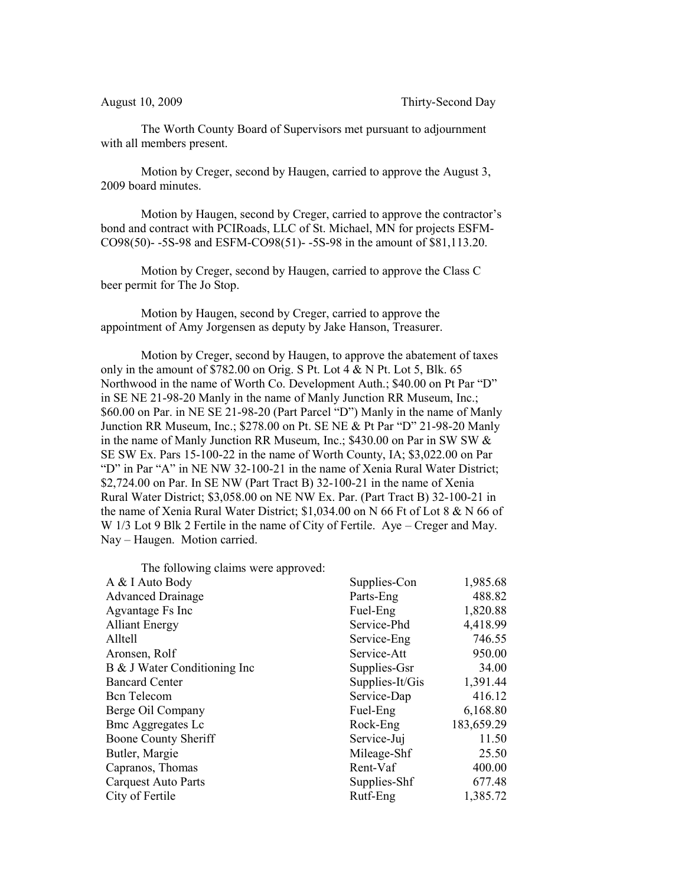The Worth County Board of Supervisors met pursuant to adjournment with all members present.

Motion by Creger, second by Haugen, carried to approve the August 3, 2009 board minutes.

Motion by Haugen, second by Creger, carried to approve the contractor's bond and contract with PCIRoads, LLC of St. Michael, MN for projects ESFM-CO98(50)- -5S-98 and ESFM-CO98(51)- -5S-98 in the amount of \$81,113.20.

Motion by Creger, second by Haugen, carried to approve the Class C beer permit for The Jo Stop.

Motion by Haugen, second by Creger, carried to approve the appointment of Amy Jorgensen as deputy by Jake Hanson, Treasurer.

Motion by Creger, second by Haugen, to approve the abatement of taxes only in the amount of  $$782.00$  on Orig. S Pt. Lot 4 & N Pt. Lot 5, Blk. 65 Northwood in the name of Worth Co. Development Auth.; \$40.00 on Pt Par "D" in SE NE 21-98-20 Manly in the name of Manly Junction RR Museum, Inc.; \$60.00 on Par. in NE SE 21-98-20 (Part Parcel "D") Manly in the name of Manly Junction RR Museum, Inc.; \$278.00 on Pt. SE NE & Pt Par "D" 21-98-20 Manly in the name of Manly Junction RR Museum, Inc.; \$430.00 on Par in SW SW & SE SW Ex. Pars 15-100-22 in the name of Worth County, IA; \$3,022.00 on Par "D" in Par "A" in NE NW 32-100-21 in the name of Xenia Rural Water District; \$2,724.00 on Par. In SE NW (Part Tract B) 32-100-21 in the name of Xenia Rural Water District; \$3,058.00 on NE NW Ex. Par. (Part Tract B) 32-100-21 in the name of Xenia Rural Water District; \$1,034.00 on N 66 Ft of Lot 8 & N 66 of W 1/3 Lot 9 Blk 2 Fertile in the name of City of Fertile. Aye – Creger and May. Nay – Haugen. Motion carried.

The following claims were approved: A & I Auto Body Supplies-Con 1,985.68 Advanced Drainage Parts-Eng 488.82 Agvantage Fs Inc Fuel-Eng 1,820.88 Alliant Energy Service-Phd 4,418.99 Alltell Service-Eng 746.55 Aronsen, Rolf Service-Att 950.00 B & J Water Conditioning Inc Supplies-Gsr 34.00 Bancard Center Supplies-It/Gis 1,391.44 Bcn Telecom Service-Dap 416.12 Berge Oil Company Fuel-Eng 6,168.80 Bmc Aggregates Lc Rock-Eng 183,659.29 Boone County Sheriff Service-Juj 211.50 Butler, Margie Mileage-Shf 25.50 Capranos, Thomas Rent-Vaf 400.00 Carquest Auto Parts Supplies-Shf 677.48 City of Fertile Rutf-Eng 1,385.72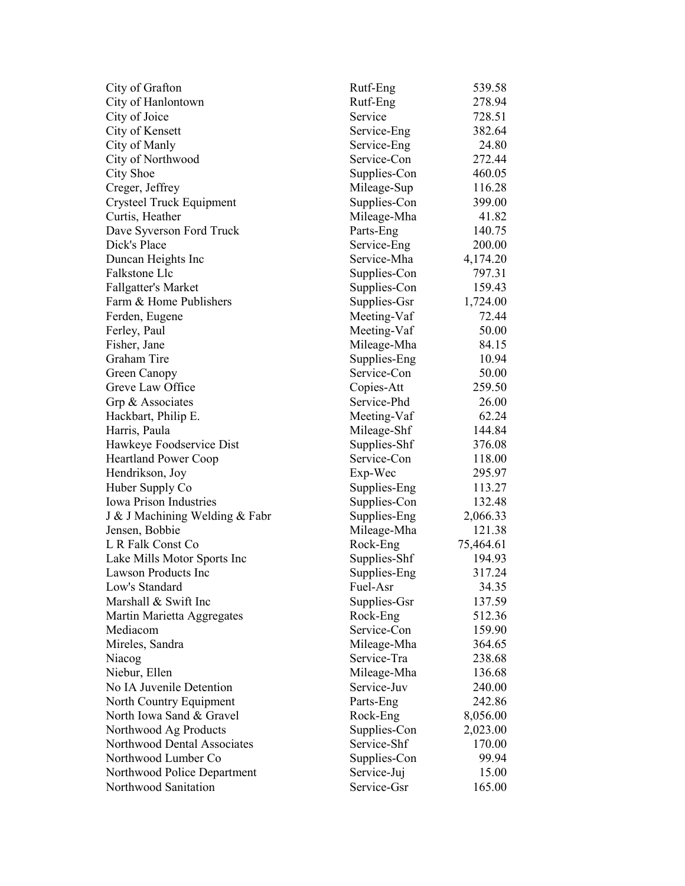| City of Grafton                | Rutf-Eng                 | 539.58    |
|--------------------------------|--------------------------|-----------|
| City of Hanlontown             | Rutf-Eng                 | 278.94    |
| City of Joice                  | Service                  | 728.51    |
| City of Kensett                | Service-Eng              | 382.64    |
| City of Manly                  | Service-Eng              | 24.80     |
| City of Northwood              | Service-Con              | 272.44    |
| City Shoe                      | Supplies-Con             | 460.05    |
| Creger, Jeffrey                | Mileage-Sup              | 116.28    |
| Crysteel Truck Equipment       | Supplies-Con             | 399.00    |
| Curtis, Heather                | Mileage-Mha              | 41.82     |
| Dave Syverson Ford Truck       | Parts-Eng                | 140.75    |
| Dick's Place                   | Service-Eng              | 200.00    |
| Duncan Heights Inc             | Service-Mha              | 4,174.20  |
| Falkstone Llc                  | Supplies-Con             | 797.31    |
| <b>Fallgatter's Market</b>     | Supplies-Con             | 159.43    |
| Farm & Home Publishers         | Supplies-Gsr             | 1,724.00  |
| Ferden, Eugene                 | Meeting-Vaf              | 72.44     |
| Ferley, Paul                   | Meeting-Vaf              | 50.00     |
| Fisher, Jane                   | Mileage-Mha              | 84.15     |
| Graham Tire                    | Supplies-Eng             | 10.94     |
| Green Canopy                   | Service-Con              | 50.00     |
| Greve Law Office               | Copies-Att               | 259.50    |
| Grp & Associates               | Service-Phd              | 26.00     |
| Hackbart, Philip E.            | Meeting-Vaf              | 62.24     |
| Harris, Paula                  | Mileage-Shf              | 144.84    |
| Hawkeye Foodservice Dist       | Supplies-Shf             | 376.08    |
| <b>Heartland Power Coop</b>    | Service-Con              | 118.00    |
| Hendrikson, Joy                | Exp-Wec                  | 295.97    |
| Huber Supply Co                | Supplies-Eng             | 113.27    |
| <b>Iowa Prison Industries</b>  | Supplies-Con             | 132.48    |
| J & J Machining Welding & Fabr | Supplies-Eng             | 2,066.33  |
| Jensen, Bobbie                 | Mileage-Mha              | 121.38    |
| L R Falk Const Co              | Rock-Eng                 | 75,464.61 |
| Lake Mills Motor Sports Inc    | Supplies-Shf             | 194.93    |
| <b>Lawson Products Inc</b>     | Supplies-Eng             | 317.24    |
| Low's Standard                 |                          | 34.35     |
| Marshall & Swift Inc           | Fuel-Asr<br>Supplies-Gsr | 137.59    |
|                                |                          |           |
| Martin Marietta Aggregates     | Rock-Eng<br>Service-Con  | 512.36    |
| Mediacom                       |                          | 159.90    |
| Mireles, Sandra                | Mileage-Mha              | 364.65    |
| Niacog                         | Service-Tra              | 238.68    |
| Niebur, Ellen                  | Mileage-Mha              | 136.68    |
| No IA Juvenile Detention       | Service-Juv              | 240.00    |
| North Country Equipment        | Parts-Eng                | 242.86    |
| North Iowa Sand & Gravel       | Rock-Eng                 | 8,056.00  |
| Northwood Ag Products          | Supplies-Con             | 2,023.00  |
| Northwood Dental Associates    | Service-Shf              | 170.00    |
| Northwood Lumber Co            | Supplies-Con             | 99.94     |
| Northwood Police Department    | Service-Juj              | 15.00     |
| Northwood Sanitation           | Service-Gsr              | 165.00    |